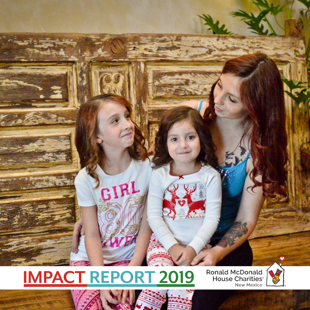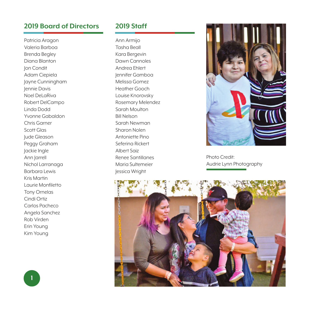## **2019 Board of Directors**

Patricia Aragon Valeria Barboa Brenda Begley Diana Blanton Jon Condit Adam Ciepiela Jayne Cunningham Jennie Davis Noel DeLaRiva Robert DelCampo Linda Dodd Yvonne Gabaldon Chris Garner Scott Glas Jude Gleason Peggy Graham Jackie Ingle Ann Jarrell Nichol Larranaga Barbara Lewis Kris Martin Laurie Monfiletto Tony Ornelas Cindi Ortiz Carlos Pacheco Angela Sanchez Rob Virden Erin Young Kim Young

### **2019 Staff**

Ann Armijo Tasha Beall Kara Bergevin Dawn Cannoles Andrea Ehlert Jennifer Gamboa Melissa Gomez Heather Gooch Louise Knorovsky Rosemary Melendez Sarah Moulton Bill Nelson Sarah Newman Sharon Nolen Antoniette Pino Seferina Rickert Albert Saiz Renee Santillanes Maria Sultemeier Jessica Wright



Photo Credit: Audrie Lynn Photography

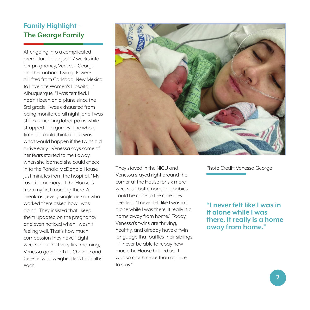# **Family Highlight - The George Family**

After going into a complicated premature labor just 27 weeks into her pregnancy, Venessa George and her unborn twin girls were airlifted from Carlsbad, New Mexico to Lovelace Women's Hospital in Albuquerque. "I was terrified. I hadn't been on a plane since the 3rd grade, I was exhausted from being monitored all night, and I was still experiencing labor pains while strapped to a gurney. The whole time all I could think about was what would happen if the twins did arrive early." Venessa says some of her fears started to melt away when she learned she could check in to the Ronald McDonald House just minutes from the hospital. "My favorite memory at the House is from my first morning there. At breakfast, every single person who worked there asked how I was doing. They insisted that I keep them updated on the pregnancy and even noticed when I wasn't feeling well. That's how much compassion they have." Eight weeks after that very first morning, Venessa gave birth to Chevelle and Celeste, who weighed less than 5lbs each.



They stayed in the NICU and Venessa stayed right around the corner at the House for six more weeks, so both mom and babies could be close to the care they needed. "I never felt like I was in it alone while I was there. It really is a home away from home." Today, Venessa's twins are thriving, healthy, and already have a twin language that baffles their siblings. "I'll never be able to repay how much the House helped us. It was so much more than a place to stay."

Photo Credit: Venessa George

**"I never felt like I was in it alone while I was there. It really is a home away from home."**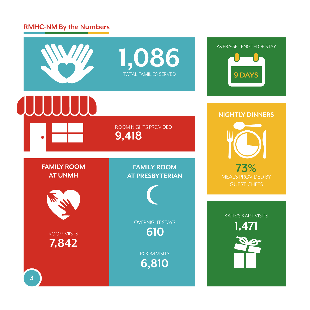# **RMHC-NM By the Numbers**

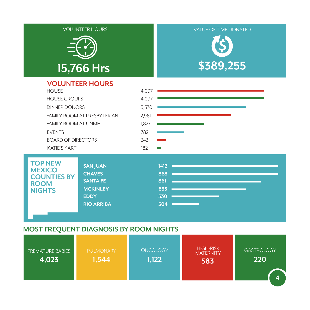

### **MOST FREQUENT DIAGNOSIS BY ROOM NIGHTS**

| <b>PREMATURE BABIES</b><br>4,023 | <b>PULMONARY</b><br>1,544 | <b>ONCOLOGY</b><br>1,122 | <b>HIGH-RISK</b><br><b>MATERNITY</b><br>583 | <b>GASTROLOGY</b><br>220 |
|----------------------------------|---------------------------|--------------------------|---------------------------------------------|--------------------------|
|                                  |                           |                          |                                             | 4                        |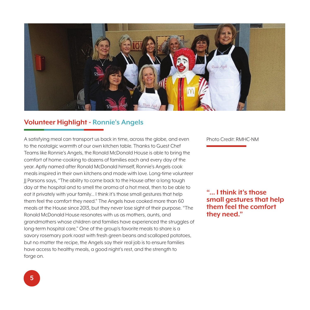

# **Volunteer Highlight - Ronnie's Angels**

A satisfying meal can transport us back in time, across the globe, and even to the nostalgic warmth of our own kitchen table. Thanks to Guest Chef Teams like Ronnie's Angels, the Ronald McDonald House is able to bring the comfort of home-cooking to dozens of families each and every day of the year. Aptly named after Ronald McDonald himself, Ronnie's Angels cook meals inspired in their own kitchens and made with love. Long-time volunteer JJ Parsons says, "The ability to come back to the House after a long tough day at the hospital and to smell the aroma of a hot meal, then to be able to eat it privately with your family… I think it's those small gestures that help them feel the comfort they need." The Angels have cooked more than 60 meals at the House since 2013, but they never lose sight of their purpose. "The Ronald McDonald House resonates with us as mothers, aunts, and grandmothers whose children and families have experienced the struggles of long-term hospital care." One of the group's favorite meals to share is a savory rosemary pork roast with fresh green beans and scalloped potatoes, but no matter the recipe, the Angels say their real job is to ensure families have access to healthy meals, a good night's rest, and the strength to forge on.

Photo Credit: RMHC-NM

**"… I think it's those small gestures that help them feel the comfort they need."**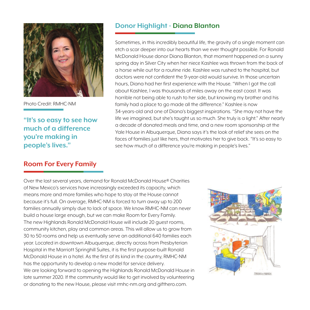

Photo Credit: RMHC-NM

**"It's so easy to see how much of a difference you're making in people's lives."**

### **Room For Every Family**

Over the last several years, demand for Ronald McDonald House® Charities of New Mexico's services have increasingly exceeded its capacity, which means more and more families who hope to stay at the House cannot because it's full. On average, RMHC-NM is forced to turn away up to 200 families annually simply due to lack of space. We know RMHC-NM can never build a house large enough, but we can make Room for Every Family. The new Highlands Ronald McDonald House will include 20 guest rooms, community kitchen, play and common areas. This will allow us to grow from 30 to 50 rooms and help us eventually serve an additional 640 families each year. Located in downtown Albuquerque, directly across from Presbyterian Hospital in the Marriott Springhill Suites, it is the first purpose-built Ronald McDonald House in a hotel. As the first of its kind in the country, RMHC-NM has the opportunity to develop a new model for service delivery. We are looking forward to opening the Highlands Ronald McDonald House in late summer 2020. If the community would like to get involved by volunteering or donating to the new House, please visit rmhc-nm.org and gifthero.com.

# PRENZH + PRENCH

### **Donor Highlight - Diana Blanton**

Sometimes, in this incredibly beautiful life, the gravity of a single moment can etch a scar deeper into our hearts than we ever thought possible. For Ronald McDonald House donor Diana Blanton, that moment happened on a sunny spring day in Silver City when her niece Kashlee was thrown from the back of a horse while out for a routine ride. Kashlee was rushed to the hospital, but doctors were not confident the 9-year-old would survive. In those uncertain hours, Diana had her first experience with the House. "When I got the call about Kashlee, I was thousands of miles away on the east coast. It was horrible not being able to rush to her side, but knowing my brother and his family had a place to go made all the difference." Kashlee is now 34-years-old and one of Diana's biggest inspirations. "She may not have the life we imagined, but she's taught us so much. She truly is a light." After nearly a decade of donated meals and time, and a new room sponsorship at the Yale House in Albuquerque, Diana says it's the look of relief she sees on the faces of families just like hers, that motivates her to give back. "It's so easy to see how much of a difference you're making in people's lives."